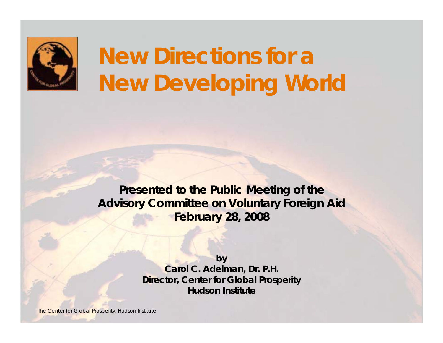

# **New Directions for a New Developing World**

**Presented to the Public Meeting of the Advisory Committee on Voluntary Foreign Aid February 28, 2008**

> **by Carol C. Adelman, Dr. P.H. Director, Center for Global Prosperity Hudson Institute**

The Center for Global Prosperity, Hudson Institute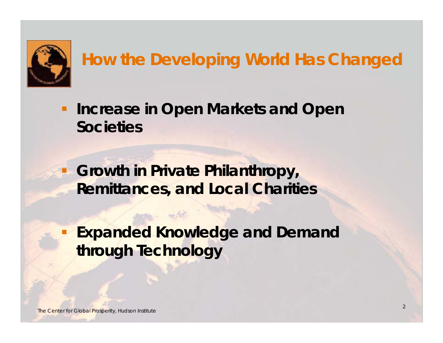

### **How the Developing World Has Changed**

 $\blacksquare$  **Increase in Open Markets and Open Societies**

 **Growth in Private Philanthropy, Remittances, and Local Charities**

 **Expanded Knowledge and Demand through Technology**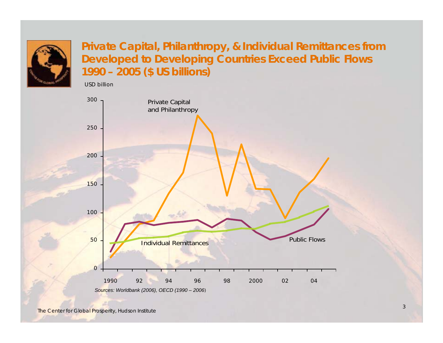

**Private Capital, Philanthropy, & Individual Remittances from Developed to Developing Countries Exceed Public Flows 1990 – 2005 (\$ US billions)**

USD billion

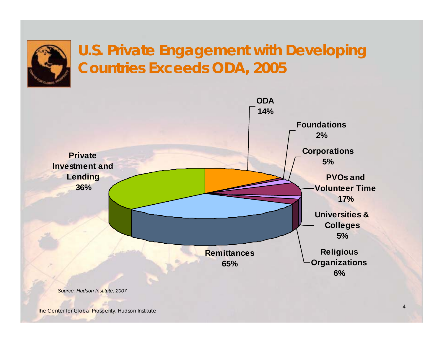

#### **U.S. Private Engagement with Developing Countries Exceeds ODA, 2005**

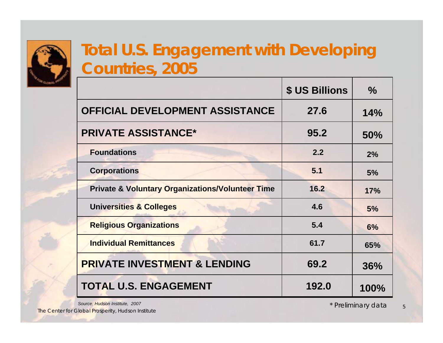

#### **Total U.S. Engagement with Developing Countries, 2005**

|                                                             | <b>\$ US Billions</b> | $\frac{0}{0}$ |
|-------------------------------------------------------------|-----------------------|---------------|
| <b>OFFICIAL DEVELOPMENT ASSISTANCE</b>                      | 27.6                  | 14%           |
| <b>PRIVATE ASSISTANCE*</b>                                  | 95.2                  | <b>50%</b>    |
| <b>Foundations</b>                                          | 2.2                   | 2%            |
| <b>Corporations</b>                                         | 5.1                   | 5%            |
| <b>Private &amp; Voluntary Organizations/Volunteer Time</b> | 16.2                  | 17%           |
| <b>Universities &amp; Colleges</b>                          | 4.6                   | 5%            |
| <b>Religious Organizations</b>                              | 5.4                   | 6%            |
| <b>Individual Remittances</b>                               | 61.7                  | 65%           |
| <b>PRIVATE INVESTMENT &amp; LENDING</b>                     | 69.2                  | 36%           |
| <b>TOTAL U.S. ENGAGEMENT</b>                                | 192.0                 | 100%          |

The Center for Global Prosperity, Hudson Institute

*Source: Hudson Institute, 2007 \* Preliminary data*

5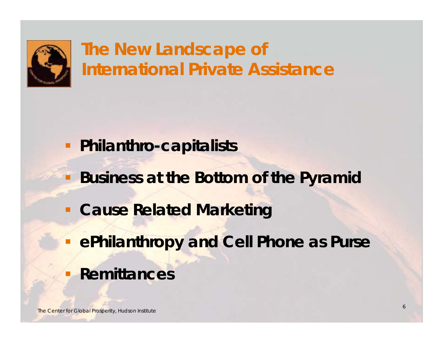

## **The New Landscape of International Private Assistance**

- **Philanthro-capitalists**
	- **Business at the Bottom of the Pyramid**
- **E Cause Related Marketing**
- **ePhilanthropy and Cell Phone as Purse**
- **Remittances**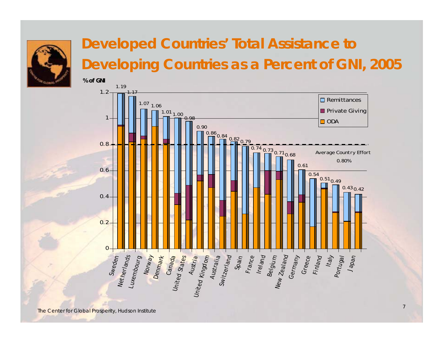

#### **Developed Countries' Total Assistance to Developing Countries as a Percent of GNI, 2005**